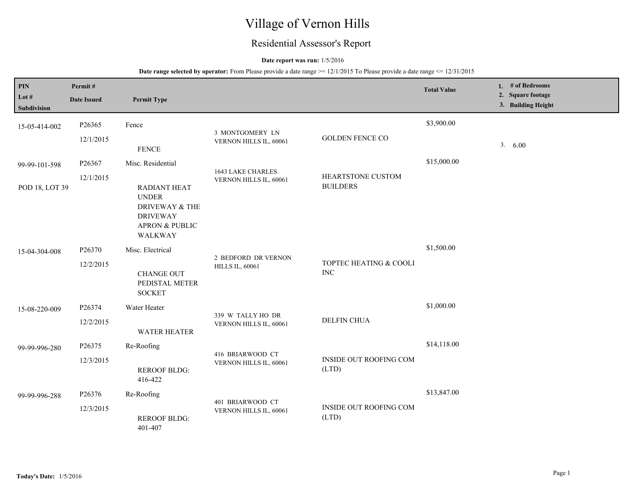# Village of Vernon Hills

## Residential Assessor's Report

### **Date report was run:** 1/5/2016

| PIN<br>Lot $#$<br><b>Subdivision</b> | Permit#<br><b>Date Issued</b>               | <b>Permit Type</b>                                                                                                      |                                               |                                             | <b>Total Value</b> | 1. $#$ of Bedrooms<br>2. Square footage<br>3. Building Height |
|--------------------------------------|---------------------------------------------|-------------------------------------------------------------------------------------------------------------------------|-----------------------------------------------|---------------------------------------------|--------------------|---------------------------------------------------------------|
| 15-05-414-002                        | P26365                                      | Fence                                                                                                                   | 3 MONTGOMERY LN                               |                                             | \$3,900.00         |                                                               |
|                                      | 12/1/2015                                   | <b>FENCE</b>                                                                                                            | VERNON HILLS IL, 60061                        | <b>GOLDEN FENCE CO</b>                      |                    | 3. 6.00                                                       |
| 99-99-101-598                        | P26367                                      | Misc. Residential                                                                                                       | 1643 LAKE CHARLES                             |                                             | \$15,000.00        |                                                               |
| POD 18, LOT 39                       | 12/1/2015                                   | <b>RADIANT HEAT</b><br><b>UNDER</b><br>DRIVEWAY & THE<br><b>DRIVEWAY</b><br><b>APRON &amp; PUBLIC</b><br><b>WALKWAY</b> | VERNON HILLS IL, 60061                        | <b>HEARTSTONE CUSTOM</b><br><b>BUILDERS</b> |                    |                                                               |
| 15-04-304-008                        | P <sub>26370</sub>                          | Misc. Electrical                                                                                                        |                                               |                                             | \$1,500.00         |                                                               |
|                                      | 12/2/2015                                   | <b>CHANGE OUT</b><br>PEDISTAL METER<br><b>SOCKET</b>                                                                    | 2 BEDFORD DR VERNON<br><b>HILLS IL, 60061</b> | TOPTEC HEATING & COOLI<br><b>INC</b>        |                    |                                                               |
| 15-08-220-009                        | P26374                                      | Water Heater                                                                                                            | 339 W TALLY HO DR                             |                                             | \$1,000.00         |                                                               |
|                                      | 12/2/2015<br><b>WATER HEATER</b>            | <b>DELFIN CHUA</b><br>VERNON HILLS IL, 60061                                                                            |                                               |                                             |                    |                                                               |
| 99-99-996-280                        | P26375                                      | Re-Roofing                                                                                                              | 416 BRIARWOOD CT                              |                                             | \$14,118.00        |                                                               |
|                                      | 12/3/2015                                   | <b>REROOF BLDG:</b><br>416-422                                                                                          | VERNON HILLS IL, 60061                        | <b>INSIDE OUT ROOFING COM</b><br>(LTD)      |                    |                                                               |
| 99-99-996-288                        | P26376                                      | Re-Roofing                                                                                                              |                                               |                                             | \$13,847.00        |                                                               |
|                                      | 12/3/2015<br><b>REROOF BLDG:</b><br>401-407 | 401 BRIARWOOD CT<br>VERNON HILLS IL, 60061<br>(LTD)                                                                     | <b>INSIDE OUT ROOFING COM</b>                 |                                             |                    |                                                               |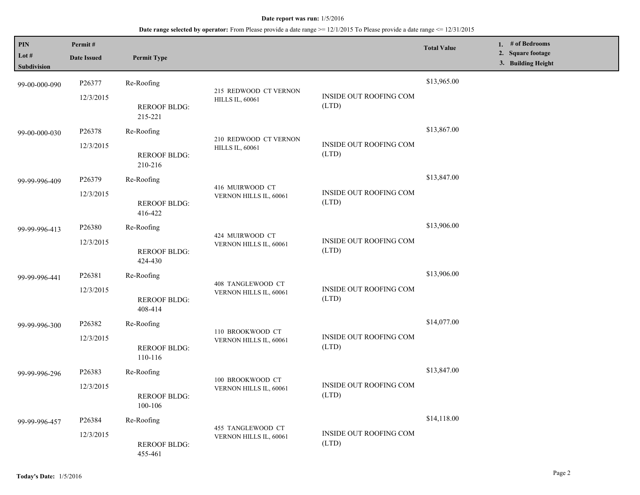| PIN<br>Lot #<br>Subdivision | Permit#<br><b>Date Issued</b> | <b>Permit Type</b>             |                                                 |                                        | <b>Total Value</b> | 1. # of Bedrooms<br>2. Square footage<br>3. Building Height |
|-----------------------------|-------------------------------|--------------------------------|-------------------------------------------------|----------------------------------------|--------------------|-------------------------------------------------------------|
| 99-00-000-090               | P26377<br>12/3/2015           | Re-Roofing                     | 215 REDWOOD CT VERNON                           | INSIDE OUT ROOFING COM                 | \$13,965.00        |                                                             |
|                             |                               | <b>REROOF BLDG:</b><br>215-221 | <b>HILLS IL, 60061</b>                          | (LTD)                                  |                    |                                                             |
| 99-00-000-030               | P26378                        | Re-Roofing                     |                                                 |                                        | \$13,867.00        |                                                             |
|                             | 12/3/2015                     | <b>REROOF BLDG:</b><br>210-216 | 210 REDWOOD CT VERNON<br><b>HILLS IL, 60061</b> | INSIDE OUT ROOFING COM<br>(LTD)        |                    |                                                             |
| 99-99-996-409               | P26379                        | Re-Roofing                     |                                                 |                                        | \$13,847.00        |                                                             |
|                             | 12/3/2015                     | <b>REROOF BLDG:</b><br>416-422 | 416 MUIRWOOD CT<br>VERNON HILLS IL, 60061       | INSIDE OUT ROOFING COM<br>(LTD)        |                    |                                                             |
| 99-99-996-413               | P26380                        | Re-Roofing                     |                                                 | INSIDE OUT ROOFING COM<br>(LTD)        | \$13,906.00        |                                                             |
|                             | 12/3/2015                     | <b>REROOF BLDG:</b><br>424-430 | 424 MUIRWOOD CT<br>VERNON HILLS IL, 60061       |                                        |                    |                                                             |
| 99-99-996-441               | P26381                        | Re-Roofing                     | 408 TANGLEWOOD CT<br>VERNON HILLS IL, 60061     | INSIDE OUT ROOFING COM<br>(LTD)        | \$13,906.00        |                                                             |
|                             | 12/3/2015                     | <b>REROOF BLDG:</b><br>408-414 |                                                 |                                        |                    |                                                             |
| 99-99-996-300               | P26382                        | Re-Roofing                     | 110 BROOKWOOD CT<br>VERNON HILLS IL, 60061      | INSIDE OUT ROOFING COM<br>(LTD)        | \$14,077.00        |                                                             |
|                             | 12/3/2015                     | <b>REROOF BLDG:</b><br>110-116 |                                                 |                                        |                    |                                                             |
| 99-99-996-296               | P26383                        | Re-Roofing                     |                                                 |                                        | \$13,847.00        |                                                             |
|                             | 12/3/2015                     | <b>REROOF BLDG:</b><br>100-106 | 100 BROOKWOOD CT<br>VERNON HILLS IL, 60061      | <b>INSIDE OUT ROOFING COM</b><br>(LTD) |                    |                                                             |
| 99-99-996-457               | P26384                        | Re-Roofing                     |                                                 |                                        | \$14,118.00        |                                                             |
|                             | 12/3/2015                     | <b>REROOF BLDG:</b><br>455-461 | 455 TANGLEWOOD CT<br>VERNON HILLS IL, 60061     | INSIDE OUT ROOFING COM<br>(LTD)        |                    |                                                             |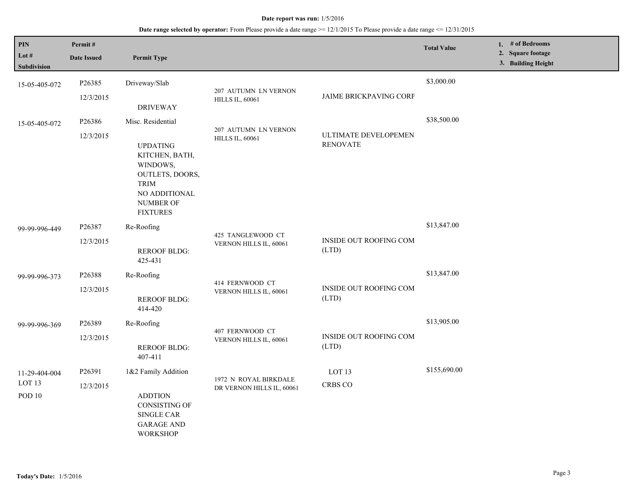| $\mathbf{PIN}$<br>Lot #<br>Subdivision              | Permit#<br><b>Date Issued</b> | <b>Permit Type</b>                                                                                                                                           |                                                    |                                         | <b>Total Value</b> | 1. $#$ of Bedrooms<br>2. Square footage<br>3. Building Height |
|-----------------------------------------------------|-------------------------------|--------------------------------------------------------------------------------------------------------------------------------------------------------------|----------------------------------------------------|-----------------------------------------|--------------------|---------------------------------------------------------------|
| 15-05-405-072                                       | P26385<br>12/3/2015           | Driveway/Slab<br><b>DRIVEWAY</b>                                                                                                                             | 207 AUTUMN LN VERNON<br><b>HILLS IL, 60061</b>     | <b>JAIME BRICKPAVING CORP</b>           | \$3,000.00         |                                                               |
| 15-05-405-072                                       | P26386<br>12/3/2015           | Misc. Residential<br><b>UPDATING</b><br>KITCHEN, BATH,<br>WINDOWS,<br>OUTLETS, DOORS,<br><b>TRIM</b><br>NO ADDITIONAL<br><b>NUMBER OF</b><br><b>FIXTURES</b> | 207 AUTUMN LN VERNON<br><b>HILLS IL, 60061</b>     | ULTIMATE DEVELOPEMEN<br><b>RENOVATE</b> | \$38,500.00        |                                                               |
| 99-99-996-449                                       | P26387<br>12/3/2015           | Re-Roofing<br><b>REROOF BLDG:</b><br>425-431                                                                                                                 | 425 TANGLEWOOD CT<br>VERNON HILLS IL, 60061        | INSIDE OUT ROOFING COM<br>(LTD)         | \$13,847.00        |                                                               |
| 99-99-996-373                                       | P26388<br>12/3/2015           | Re-Roofing<br><b>REROOF BLDG:</b><br>414-420                                                                                                                 | 414 FERNWOOD CT<br>VERNON HILLS IL, 60061          | INSIDE OUT ROOFING COM<br>(LTD)         | \$13,847.00        |                                                               |
| 99-99-996-369                                       | P26389<br>12/3/2015           | Re-Roofing<br><b>REROOF BLDG:</b><br>407-411                                                                                                                 | 407 FERNWOOD CT<br>VERNON HILLS IL, 60061          | <b>INSIDE OUT ROOFING COM</b><br>(LTD)  | \$13,905.00        |                                                               |
| 11-29-404-004<br>LOT <sub>13</sub><br><b>POD 10</b> | P26391<br>12/3/2015           | 1&2 Family Addition<br><b>ADDTION</b><br><b>CONSISTING OF</b><br><b>SINGLE CAR</b><br><b>GARAGE AND</b><br><b>WORKSHOP</b>                                   | 1972 N ROYAL BIRKDALE<br>DR VERNON HILLS IL, 60061 | LOT <sub>13</sub><br><b>CRBS CO</b>     | \$155,690.00       |                                                               |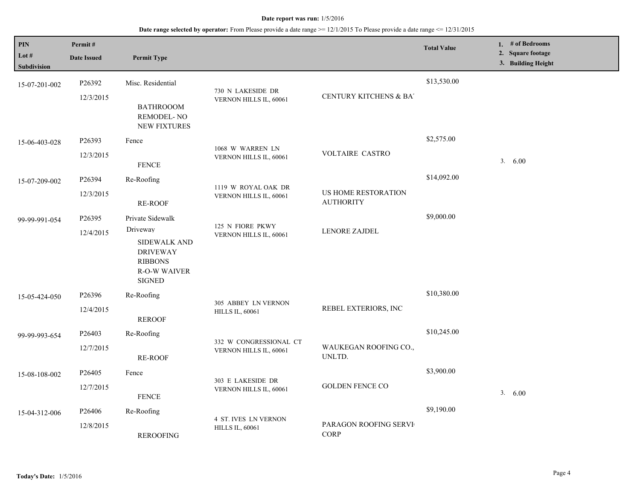| PIN<br>Lot $#$<br><b>Subdivision</b> | Permit#<br><b>Date Issued</b>    | <b>Permit Type</b>                                                                                                               |                                                       |                                         | <b>Total Value</b> | 1. # of Bedrooms<br>2. Square footage<br>3. Building Height |
|--------------------------------------|----------------------------------|----------------------------------------------------------------------------------------------------------------------------------|-------------------------------------------------------|-----------------------------------------|--------------------|-------------------------------------------------------------|
| 15-07-201-002                        | P <sub>26392</sub><br>12/3/2015  | Misc. Residential<br><b>BATHROOOM</b><br>REMODEL-NO<br><b>NEW FIXTURES</b>                                                       | 730 N LAKESIDE DR<br>VERNON HILLS IL, 60061           | <b>CENTURY KITCHENS &amp; BAT</b>       | \$13,530.00        |                                                             |
| 15-06-403-028                        | P <sub>26393</sub><br>12/3/2015  | Fence<br><b>FENCE</b>                                                                                                            | 1068 W WARREN LN<br>VERNON HILLS IL, 60061            | <b>VOLTAIRE CASTRO</b>                  | \$2,575.00         | 3. 6.00                                                     |
| 15-07-209-002                        | P26394<br>12/3/2015              | Re-Roofing<br><b>RE-ROOF</b>                                                                                                     | 1119 W ROYAL OAK DR<br>VERNON HILLS IL, 60061         | US HOME RESTORATION<br><b>AUTHORITY</b> | \$14,092.00        |                                                             |
| 99-99-991-054                        | P <sub>26</sub> 395<br>12/4/2015 | Private Sidewalk<br>Driveway<br><b>SIDEWALK AND</b><br><b>DRIVEWAY</b><br><b>RIBBONS</b><br><b>R-O-W WAIVER</b><br><b>SIGNED</b> | 125 N FIORE PKWY<br>VERNON HILLS IL, 60061            | LENORE ZAJDEL                           | \$9,000.00         |                                                             |
| 15-05-424-050                        | P <sub>26396</sub><br>12/4/2015  | Re-Roofing<br><b>REROOF</b>                                                                                                      | 305 ABBEY LN VERNON<br><b>HILLS IL, 60061</b>         | REBEL EXTERIORS, INC                    | \$10,380.00        |                                                             |
| 99-99-993-654                        | P26403<br>12/7/2015              | Re-Roofing<br><b>RE-ROOF</b>                                                                                                     | 332 W CONGRESSIONAL CT<br>VERNON HILLS IL, 60061      | WAUKEGAN ROOFING CO.,<br>UNLTD.         | \$10,245.00        |                                                             |
| 15-08-108-002                        | P <sub>26405</sub><br>12/7/2015  | Fence<br><b>FENCE</b>                                                                                                            | 303 E LAKESIDE DR<br>VERNON HILLS IL, 60061           | <b>GOLDEN FENCE CO</b>                  | \$3,900.00         | 3. 6.00                                                     |
| 15-04-312-006                        | P26406<br>12/8/2015              | Re-Roofing<br><b>REROOFING</b>                                                                                                   | <b>4 ST. IVES LN VERNON</b><br><b>HILLS IL, 60061</b> | PARAGON ROOFING SERVI<br><b>CORP</b>    | \$9,190.00         |                                                             |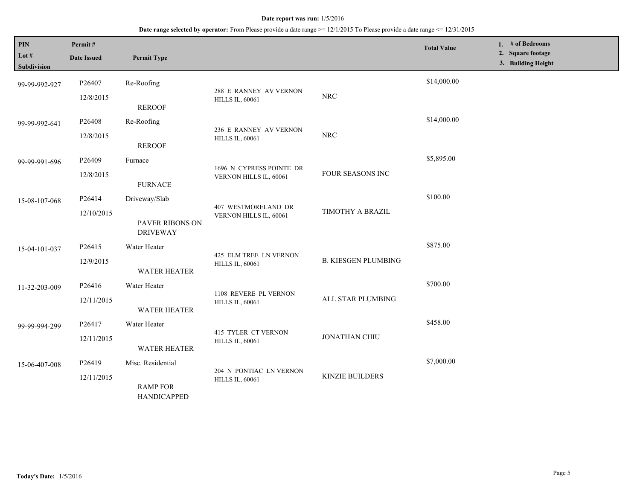## **Date range selected by operator:** From Please provide a date range >= 12/1/2015 To Please provide a date range <= 12/31/2015

| PIN<br>Lot #<br><b>Subdivision</b> | Permit#<br><b>Date Issued</b>                               | <b>Permit Type</b>                    |                                                  |                            | <b>Total Value</b> | 1. # of Bedrooms<br>2. Square footage<br>3. Building Height |
|------------------------------------|-------------------------------------------------------------|---------------------------------------|--------------------------------------------------|----------------------------|--------------------|-------------------------------------------------------------|
| 99-99-992-927                      | P26407<br>12/8/2015                                         | Re-Roofing                            | 288 E RANNEY AV VERNON                           | ${\rm NRC}$                | \$14,000.00        |                                                             |
|                                    |                                                             | <b>REROOF</b>                         | <b>HILLS IL, 60061</b>                           |                            |                    |                                                             |
| 99-99-992-641                      | P26408                                                      | Re-Roofing                            |                                                  |                            | \$14,000.00        |                                                             |
|                                    | 12/8/2015                                                   | <b>REROOF</b>                         | 236 E RANNEY AV VERNON<br><b>HILLS IL, 60061</b> | <b>NRC</b>                 |                    |                                                             |
| 99-99-991-696                      | P26409                                                      | Furnace                               | 1696 N CYPRESS POINTE DR                         |                            | \$5,895.00         |                                                             |
|                                    | 12/8/2015                                                   | <b>FURNACE</b>                        | VERNON HILLS IL, 60061                           | FOUR SEASONS INC           |                    |                                                             |
| 15-08-107-068                      | P26414                                                      | Driveway/Slab                         | 407 WESTMORELAND DR<br>VERNON HILLS IL, 60061    |                            | \$100.00           |                                                             |
|                                    | 12/10/2015<br><b>DRIVEWAY</b>                               | PAVER RIBONS ON                       |                                                  | TIMOTHY A BRAZIL           |                    |                                                             |
| 15-04-101-037                      | P26415                                                      | Water Heater                          | 425 ELM TREE LN VERNON<br><b>HILLS IL, 60061</b> | <b>B. KIESGEN PLUMBING</b> | \$875.00           |                                                             |
|                                    | 12/9/2015                                                   | <b>WATER HEATER</b>                   |                                                  |                            |                    |                                                             |
| 11-32-203-009                      | P26416                                                      | Water Heater                          |                                                  |                            | \$700.00           |                                                             |
|                                    | 12/11/2015                                                  | WATER HEATER                          | 1108 REVERE PL VERNON<br><b>HILLS IL, 60061</b>  | ALL STAR PLUMBING          |                    |                                                             |
| 99-99-994-299                      | P26417                                                      | Water Heater                          | <b>415 TYLER CT VERNON</b>                       |                            | \$458.00           |                                                             |
|                                    | 12/11/2015<br><b>HILLS IL, 60061</b><br><b>WATER HEATER</b> | JONATHAN CHIU                         |                                                  |                            |                    |                                                             |
| 15-06-407-008                      | P26419                                                      | Misc. Residential                     | 204 N PONTIAC LN VERNON                          |                            | \$7,000.00         |                                                             |
|                                    | 12/11/2015                                                  | <b>RAMP FOR</b><br><b>HANDICAPPED</b> | <b>HILLS IL, 60061</b>                           | <b>KINZIE BUILDERS</b>     |                    |                                                             |

L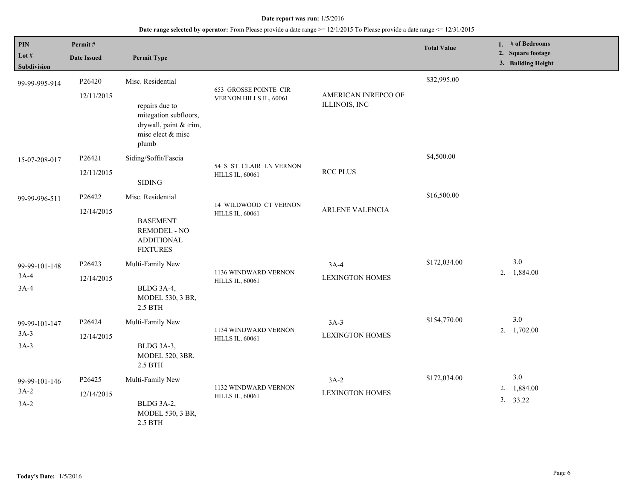| <b>PIN</b><br>Lot $#$<br>Subdivision | Permit#<br><b>Date Issued</b> | <b>Permit Type</b>                                                                                                   |                                                    |                                      | <b>Total Value</b> | 1. # of Bedrooms<br>2. Square footage<br>3. Building Height |
|--------------------------------------|-------------------------------|----------------------------------------------------------------------------------------------------------------------|----------------------------------------------------|--------------------------------------|--------------------|-------------------------------------------------------------|
| 99-99-995-914                        | P26420<br>12/11/2015          | Misc. Residential<br>repairs due to<br>mitegation subfloors,<br>drywall, paint & trim,<br>misc elect & misc<br>plumb | 653 GROSSE POINTE CIR<br>VERNON HILLS IL, 60061    | AMERICAN INREPCO OF<br>ILLINOIS, INC | \$32,995.00        |                                                             |
| 15-07-208-017                        | P26421<br>12/11/2015          | Siding/Soffit/Fascia<br><b>SIDING</b>                                                                                | 54 S ST. CLAIR LN VERNON<br><b>HILLS IL, 60061</b> | <b>RCC PLUS</b>                      | \$4,500.00         |                                                             |
| 99-99-996-511                        | P26422<br>12/14/2015          | Misc. Residential<br><b>BASEMENT</b><br><b>REMODEL - NO</b><br><b>ADDITIONAL</b><br><b>FIXTURES</b>                  | 14 WILDWOOD CT VERNON<br><b>HILLS IL, 60061</b>    | ARLENE VALENCIA                      | \$16,500.00        |                                                             |
| 99-99-101-148<br>$3A-4$<br>$3A-4$    | P26423<br>12/14/2015          | Multi-Family New<br>BLDG 3A-4,<br>MODEL 530, 3 BR,<br>2.5 BTH                                                        | 1136 WINDWARD VERNON<br><b>HILLS IL, 60061</b>     | $3A-4$<br><b>LEXINGTON HOMES</b>     | \$172,034.00       | 3.0<br>1,884.00<br>2.                                       |
| 99-99-101-147<br>$3A-3$<br>$3A-3$    | P26424<br>12/14/2015          | Multi-Family New<br>BLDG 3A-3,<br>MODEL 520, 3BR,<br>2.5 BTH                                                         | 1134 WINDWARD VERNON<br><b>HILLS IL, 60061</b>     | $3A-3$<br><b>LEXINGTON HOMES</b>     | \$154,770.00       | 3.0<br>$2. \quad 1,702.00$                                  |
| 99-99-101-146<br>$3A-2$<br>$3A-2$    | P26425<br>12/14/2015          | Multi-Family New<br>BLDG 3A-2,<br>MODEL 530, 3 BR,<br>2.5 BTH                                                        | 1132 WINDWARD VERNON<br><b>HILLS IL, 60061</b>     | $3A-2$<br><b>LEXINGTON HOMES</b>     | \$172,034.00       | 3.0<br>1,884.00<br>2.<br>3. 33.22                           |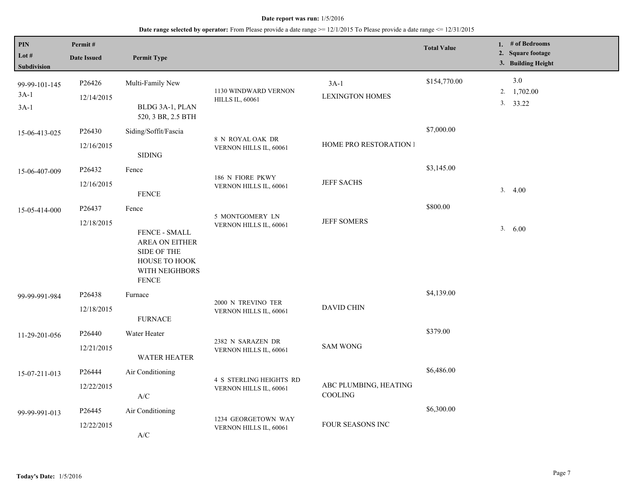| PIN<br>Lot $#$<br><b>Subdivision</b> | Permit#<br><b>Date Issued</b> | <b>Permit Type</b>                                                                                         |                                                   |                                  | <b>Total Value</b> | 1. # of Bedrooms<br>2. Square footage<br>3. Building Height |
|--------------------------------------|-------------------------------|------------------------------------------------------------------------------------------------------------|---------------------------------------------------|----------------------------------|--------------------|-------------------------------------------------------------|
| 99-99-101-145<br>$3A-1$<br>$3A-1$    | P26426<br>12/14/2015          | Multi-Family New<br>BLDG 3A-1, PLAN<br>520, 3 BR, 2.5 BTH                                                  | 1130 WINDWARD VERNON<br><b>HILLS IL, 60061</b>    | $3A-1$<br><b>LEXINGTON HOMES</b> | \$154,770.00       | 3.0<br>2. $1,702.00$<br>3. 33.22                            |
| 15-06-413-025                        | P26430<br>12/16/2015          | Siding/Soffit/Fascia<br><b>SIDING</b>                                                                      | 8 N ROYAL OAK DR<br>VERNON HILLS IL, 60061        | <b>HOME PRO RESTORATION I</b>    | \$7,000.00         |                                                             |
| 15-06-407-009                        | P26432<br>12/16/2015          | Fence<br><b>FENCE</b>                                                                                      | 186 N FIORE PKWY<br>VERNON HILLS IL, 60061        | <b>JEFF SACHS</b>                | \$3,145.00         | 3.4.00                                                      |
| 15-05-414-000                        | P26437<br>12/18/2015          | Fence<br>FENCE - SMALL<br>AREA ON EITHER<br>SIDE OF THE<br>HOUSE TO HOOK<br>WITH NEIGHBORS<br><b>FENCE</b> | 5 MONTGOMERY LN<br>VERNON HILLS IL, 60061         | <b>JEFF SOMERS</b>               | \$800.00           | 3.600                                                       |
| 99-99-991-984                        | P26438<br>12/18/2015          | Furnace<br><b>FURNACE</b>                                                                                  | 2000 N TREVINO TER<br>VERNON HILLS IL, 60061      | <b>DAVID CHIN</b>                | \$4,139.00         |                                                             |
| 11-29-201-056                        | P26440<br>12/21/2015          | Water Heater<br><b>WATER HEATER</b>                                                                        | 2382 N SARAZEN DR<br>VERNON HILLS IL, 60061       | <b>SAM WONG</b>                  | \$379.00           |                                                             |
| 15-07-211-013                        | P26444<br>12/22/2015          | Air Conditioning<br>A/C                                                                                    | 4 S STERLING HEIGHTS RD<br>VERNON HILLS IL, 60061 | ABC PLUMBING, HEATING<br>COOLING | \$6,486.00         |                                                             |
| 99-99-991-013                        | P26445<br>12/22/2015          | Air Conditioning<br>A/C                                                                                    | 1234 GEORGETOWN WAY<br>VERNON HILLS IL, 60061     | FOUR SEASONS INC                 | \$6,300.00         |                                                             |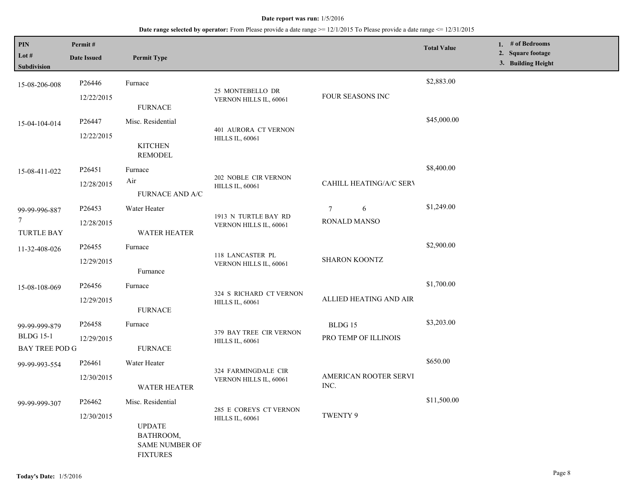| PIN<br>Lot $#$                      | Permit#            |                                                                        |                                                   |                                      | <b>Total Value</b> | 1. $#$ of Bedrooms<br>2. Square footage |
|-------------------------------------|--------------------|------------------------------------------------------------------------|---------------------------------------------------|--------------------------------------|--------------------|-----------------------------------------|
| Subdivision                         | <b>Date Issued</b> | <b>Permit Type</b>                                                     |                                                   |                                      |                    | 3. Building Height                      |
| 15-08-206-008                       | P26446             | Furnace                                                                | 25 MONTEBELLO DR                                  |                                      | \$2,883.00         |                                         |
|                                     | 12/22/2015         | <b>FURNACE</b>                                                         | VERNON HILLS IL, 60061                            | FOUR SEASONS INC                     |                    |                                         |
| 15-04-104-014                       | P26447             | Misc. Residential                                                      | 401 AURORA CT VERNON                              |                                      | \$45,000.00        |                                         |
|                                     | 12/22/2015         | <b>KITCHEN</b><br><b>REMODEL</b>                                       | <b>HILLS IL, 60061</b>                            |                                      |                    |                                         |
| 15-08-411-022                       | P <sub>26451</sub> | Furnace                                                                |                                                   |                                      | \$8,400.00         |                                         |
|                                     | 12/28/2015         | Air                                                                    | 202 NOBLE CIR VERNON<br><b>HILLS IL, 60061</b>    | CAHILL HEATING/A/C SERV              |                    |                                         |
|                                     |                    | <b>FURNACE AND A/C</b>                                                 |                                                   |                                      |                    |                                         |
| 99-99-996-887                       | P26453             | Water Heater                                                           | 1913 N TURTLE BAY RD<br>VERNON HILLS IL, 60061    | $\tau$<br>6                          | \$1,249.00         |                                         |
| $\overline{7}$<br><b>TURTLE BAY</b> | 12/28/2015         | <b>WATER HEATER</b>                                                    |                                                   | <b>RONALD MANSO</b>                  |                    |                                         |
| 11-32-408-026                       | P <sub>26455</sub> | Furnace                                                                | 118 LANCASTER PL<br>VERNON HILLS IL, 60061        | <b>SHARON KOONTZ</b>                 | \$2,900.00         |                                         |
|                                     | 12/29/2015         | Furnance                                                               |                                                   |                                      |                    |                                         |
| 15-08-108-069                       | P <sub>26456</sub> | Furnace                                                                | 324 S RICHARD CT VERNON<br><b>HILLS IL, 60061</b> | \$1,700.00<br>ALLIED HEATING AND AIR |                    |                                         |
|                                     | 12/29/2015         | <b>FURNACE</b>                                                         |                                                   |                                      |                    |                                         |
| 99-99-999-879                       | P26458             | Furnace                                                                |                                                   | BLDG 15                              | \$3,203.00         |                                         |
| <b>BLDG</b> 15-1                    | 12/29/2015         |                                                                        | 379 BAY TREE CIR VERNON<br><b>HILLS IL, 60061</b> | PRO TEMP OF ILLINOIS                 |                    |                                         |
| <b>BAY TREE POD G</b>               |                    | <b>FURNACE</b>                                                         |                                                   |                                      |                    |                                         |
| 99-99-993-554                       | P26461             | Water Heater                                                           |                                                   |                                      | \$650.00           |                                         |
|                                     | 12/30/2015         | <b>WATER HEATER</b>                                                    | 324 FARMINGDALE CIR<br>VERNON HILLS IL, 60061     | AMERICAN ROOTER SERVI<br>INC.        |                    |                                         |
| 99-99-999-307                       | P26462             | Misc. Residential                                                      |                                                   |                                      | \$11,500.00        |                                         |
|                                     | 12/30/2015         | <b>UPDATE</b><br>BATHROOM,<br><b>SAME NUMBER OF</b><br><b>FIXTURES</b> | 285 E COREYS CT VERNON<br><b>HILLS IL, 60061</b>  | TWENTY 9                             |                    |                                         |